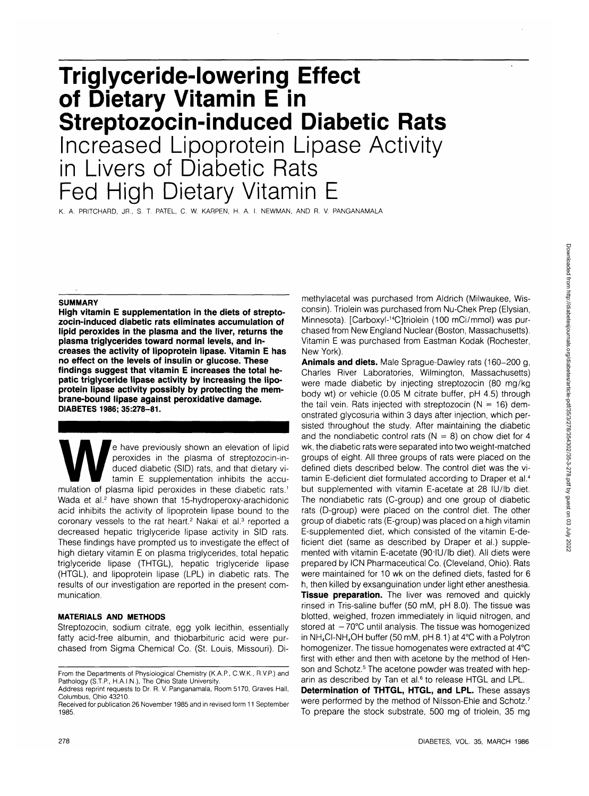# **Triglyceride-lowering Effect of Dietary Vitamin E in Streptozocin-induced Diabetic Rats** Increased Lipoprotein Lipase Activity in Livers of Diabetic Rats Fed High Dietary Vitamin E

K. A. PRITCHARD, JR., S. T. PATEL, C. W. KARPEN, H. A. I. NEWMAN, AND R. V. PANGANAMALA

#### **SUMMARY**

**High vitamin E supplementation in the diets of streptozocin-induced diabetic rats eliminates accumulation of lipid peroxides in the plasma and the liver, returns the plasma triglycerides toward normal levels, and increases the activity of lipoprotein lipase. Vitamin E has no effect on the levels of insulin or glucose. These findings suggest that vitamin E increases the total hepatic triglyceride lipase activity by increasing the lipoprotein lipase activity possibly by protecting the membrane-bound lipase against peroxidative damage. DIABETES 1986; 35:278-81.**

e have previously shown an elevation of lipid<br>peroxides in the plasma of streptozocin-in-<br>duced diabetic (SID) rats, and that dietary vi-<br>tamin E supplementation inhibits the accu-<br>mulation of plasma lipid peroxides in the peroxides in the plasma of streptozocin-induced diabetic (SID) rats, and that dietary vitamin E supplementation inhibits the accu-Wada et al.<sup>2</sup> have shown that 15-hydroperoxy-arachidonic acid inhibits the activity of lipoprotein lipase bound to the coronary vessels to the rat heart.<sup>2</sup> Nakai et al.<sup>3</sup> reported a decreased hepatic triglyceride lipase activity in SID rats. These findings have prompted us to investigate the effect of high dietary vitamin E on plasma triglycerides, total hepatic triglyceride lipase (THTGL), hepatic triglyceride lipase (HTGL), and lipoprotein lipase (LPL) in diabetic rats. The results of our investigation are reported in the present communication.

## **MATERIALS AND METHODS**

Streptozocin, sodium citrate, egg yolk lecithin, essentially fatty acid-free albumin, and thiobarbituric acid were purchased from Sigma Chemical Co. (St. Louis, Missouri). Dimethylacetal was purchased from Aldrich (Milwaukee, Wisconsin). Triolein was purchased from Nu-Chek Prep (Elysian, Minnesota). [Carboxyl-14C]triolein (100 mCi/mmol) was purchased from New England Nuclear (Boston, Massachusetts). Vitamin E was purchased from Eastman Kodak (Rochester, New York).

**Animals and diets.** Male Sprague-Dawley rats (160-200 g, Charles River Laboratories, Wilmington, Massachusetts) were made diabetic by injecting streptozocin (80 mg/kg body wt) or vehicle (0.05 M citrate buffer, pH 4.5) through the tail vein. Rats injected with streptozocin  $(N = 16)$  demonstrated glycosuria within 3 days after injection, which persisted throughout the study. After maintaining the diabetic and the nondiabetic control rats ( $N = 8$ ) on chow diet for 4 wk, the diabetic rats were separated into two weight-matched groups of eight. All three groups of rats were placed on the defined diets described below. The control diet was the vitamin E-deficient diet formulated according to Draper et al.<sup>4</sup> but supplemented with vitamin E-acetate at 28 lU/lb diet. The nondiabetic rats (C-group) and one group of diabetic rats (D-group) were placed on the control diet. The other group of diabetic rats (E-group) was placed on a high vitamin E-supplemented diet, which consisted of the vitamin E-deficient diet (same as described by Draper et al.) supplemented with vitamin E-acetate **(90'IU/lb** diet). All diets were prepared by ICN Pharmaceutical Co. (Cleveland, Ohio). Rats were maintained for 10 wk on the defined diets, fasted for 6 h, then killed by exsanguination under light ether anesthesia. **Tissue preparation.** The liver was removed and quickly rinsed in Tris-saline buffer (50 mM, pH 8.0). The tissue was blotted, weighed, frozen immediately in liquid nitrogen, and stored at  $-70^{\circ}$ C until analysis. The tissue was homogenized in NH4CI-NH4OH buffer (50 mM, pH 8.1) at 4°C with a Polytron homogenizer. The tissue homogenates were extracted at 4°C first with ether and then with acetone by the method of Henson and Schotz.<sup>5</sup> The acetone powder was treated with heparin as described by Tan et al.<sup>6</sup> to release HTGL and LPL.

**Determination of THTGL, HTGL, and LPL.** These assays were performed by the method of Nilsson-Ehle and Schotz.<sup>7</sup> To prepare the stock substrate, 500 mg of triolein, 35 mg

From the Departments of Physiological Chemistry (K.A.P., C.W.K., R.V.P.) and Pathology (S.T.P., H.A.I.N.), The Ohio State University.

Address reprint requests to Dr. R. V. Panganamala, Room 5170, Graves Hall, Columbus, Ohio 43210.

Received for publication 26 November 1985 and in revised form 11 September 1985.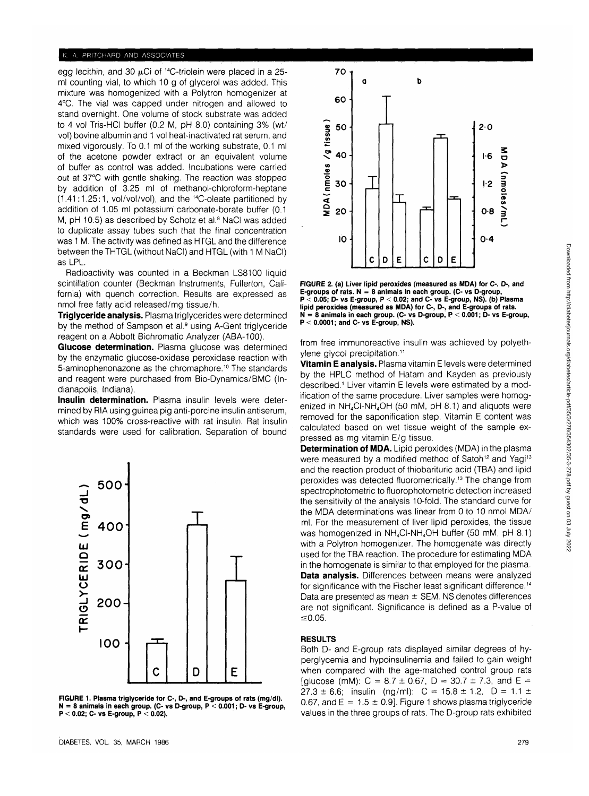## K. A. PRITCHARD AND ASSOCIATES

egg lecithin, and 30  $\mu$ Ci of <sup>14</sup>C-triolein were placed in a 25ml counting vial, to which 10 g of glycerol was added. This mixture was homogenized with a Polytron homogenizer at 4°C. The vial was capped under nitrogen and allowed to stand overnight. One volume of stock substrate was added to 4 vol Tris-HCI buffer (0.2 M, pH 8.0) containing 3% (wt/ vol) bovine albumin and 1 vol heat-inactivated rat serum, and mixed vigorously. To 0.1 ml of the working substrate, 0.1 ml of the acetone powder extract or an equivalent volume of buffer as control was added. Incubations were carried out at 37°C with gentle shaking. The reaction was stopped by addition of 3.25 ml of methanol-chloroform-heptane (1.41:1.25:1, vol/vol/vol), and the 14C-oleate partitioned by addition of 1.05 ml potassium carbonate-borate buffer (0.1 M, pH 10.5) as described by Schotz et al.<sup>8</sup> NaCl was added to duplicate assay tubes such that the final concentration was 1 M. The activity was defined as HTGL and the difference between the THTGL (without NaCI) and HTGL (with 1 M NaCI) as LPL.

Radioactivity was counted in a Beckman LS8100 liquid scintillation counter (Beckman Instruments, Fullerton, California) with quench correction. Results are expressed as nmol free fatty acid released/mg tissue/h.

**Triglyceride analysis.** Plasma triglycerides were determined by the method of Sampson et al.<sup>9</sup> using A-Gent triglyceride reagent on a Abbott Bichromatic Analyzer (ABA-100).

**Glucose determination.** Plasma glucose was determined by the enzymatic glucose-oxidase peroxidase reaction with 5-aminophenonazone as the chromaphore.<sup>10</sup> The standards and reagent were purchased from Bio-Dynamics/BMC (Indianapolis, Indiana).

**Insulin determination.** Plasma insulin levels were determined by RIA using guinea pig anti-porcine insulin antiserum, which was 100% cross-reactive with rat insulin. Rat insulin standards were used for calibration. Separation of bound



**FIGURE 1. Plasma triglyceride for C-, D-, and E-groups of rats (mg/dl). N = 8 animals in each group. (C- vs D-group, P < 0.001; D- vs E-group, P < 0.02; C- vs E-group, P < 0.02).**



**FIGURE 2. (a) Liver lipid peroxides (measured as MDA) for C-, D-, and E-groups of rats. N = 8 animals in each group. (C- vs D-group, P < 0.05; D- vs E-group, P < 0.02; and C- vs E-group, NS). (b) Plasma lipid peroxides (measured as MDA) for C-, D-, and E-groups of rats. N = 8 animals in each group. (C- vs D-group, P < 0.001; D- vs E-group, P < 0.0001; and C- vs E-group, NS).**

from free immunoreactive insulin was achieved by polyethvlene glycol precipitation.<sup>11</sup>

**Vitamin E analysis.** Plasma vitamin E levels were determined by the HPLC method of Hatam and Kayden as previously described.<sup>1</sup> Liver vitamin E levels were estimated by a modification of the same procedure. Liver samples were homogenized in  $NH_4C$ I-NH $_4$ OH (50 mM, pH 8.1) and aliquots were removed for the saponification step. Vitamin E content was calculated based on wet tissue weight of the sample expressed as mg vitamin E/g tissue.

**Determination of MDA.** Lipid peroxides (MDA) in the plasma were measured by a modified method of Satoh<sup>12</sup> and Yagi<sup>13</sup> and the reaction product of thiobarituric acid (TBA) and lipid peroxides was detected fluorometrically.<sup>13</sup> The change from spectrophotometric to fluorophotometric detection increased the sensitivity of the analysis 10-fold. The standard curve for the MDA determinations was linear from 0 to 10 nmol MDA/ ml. For the measurement of liver lipid peroxides, the tissue was homogenized in NH<sub>4</sub>CI-NH<sub>4</sub>OH buffer (50 mM, pH 8.1) with a Polytron homogenizer. The homogenate was directly used for the TBA reaction. The procedure for estimating MDA in the homogenate is similar to that employed for the plasma. **Data analysis.** Differences between means were analyzed for significance with the Fischer least significant difference.14 Data are presented as mean  $\pm$  SEM. NS denotes differences are not significant. Significance is defined as a P-value of  $≤0.05.$ 

## **RESULTS**

Both D- and E-group rats displayed similar degrees of hyperglycemia and hypoinsulinemia and failed to gain weight when compared with the age-matched control group rats [glucose (mM):  $C = 8.7 \pm 0.67$ ,  $D = 30.7 \pm 7.3$ , and  $E =$  $27.3 \pm 6.6$ ; insulin (ng/ml):  $C = 15.8 \pm 1.2$ ,  $D = 1.1 \pm 1.5$ 0.67, and  $E = 1.5 \pm 0.9$ . Figure 1 shows plasma triglyceride values in the three groups of rats. The D-group rats exhibited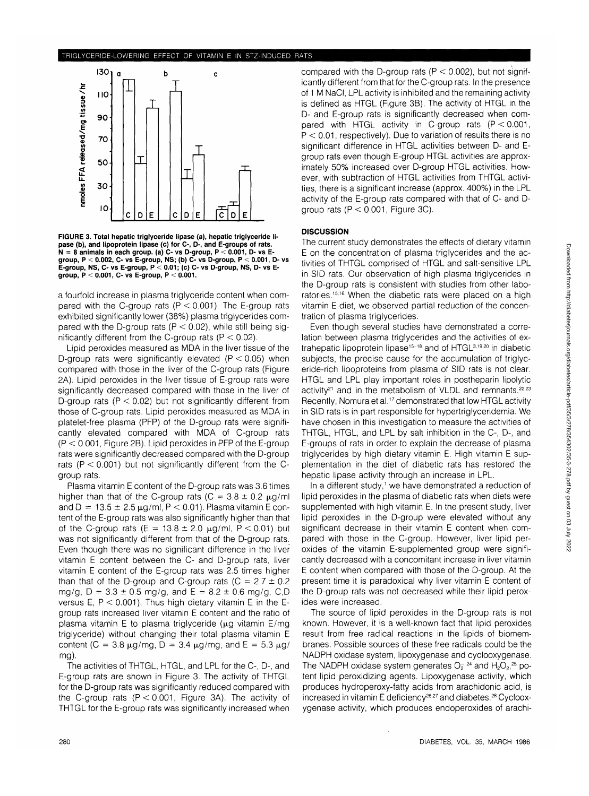### fRIGLYCERIDE-LOWERING EFFECT OF VITAMIN E IN STZ-INDUCED RATS



**FIGURE 3. Total hepatic triglyceride lipase (a), hepatic triglyceride lipase (b), and lipoprotein lipase (c) for C-, D-, and E-groups of rats. N = 8 animals in each group, (a) C- vs D-group, P < 0.001, D- vs Egroup, P < 0.002, C- vs E-group, NS; (b) C- vs D-group, P < 0.001, D- vs E-group, NS, C- vs E-group, P < 0.01; (c) C- vs D-group, NS, D- vs Egroup, P < 0.001, C- vs E-group, P < 0.001.**

a fourfold increase in plasma triglyceride content when compared with the C-group rats ( $P < 0.001$ ). The E-group rats exhibited significantly lower (38%) plasma triglycerides compared with the D-group rats ( $P < 0.02$ ), while still being significantly different from the C-group rats  $(P < 0.02)$ .

Lipid peroxides measured as MDA in the liver tissue of the D-group rats were significantly elevated  $(P < 0.05)$  when compared with those in the liver of the C-group rats (Figure 2A). Lipid peroxides in the liver tissue of E-group rats were significantly decreased compared with those in the liver of D-group rats ( $P < 0.02$ ) but not significantly different from those of C-group rats. Lipid peroxides measured as MDA in platelet-free plasma (PFP) of the D-group rats were significantly elevated compared with MDA of C-group rats  $(P < 0.001$ , Figure 2B). Lipid peroxides in PFP of the E-group rats were significantly decreased compared with the D-group rats ( $P < 0.001$ ) but not significantly different from the Cgroup rats.

Plasma vitamin E content of the D-group rats was 3.6 times higher than that of the C-group rats (C =  $3.8 \pm 0.2 \mu$ g/ml and  $D = 13.5 \pm 2.5 \,\mu\text{g/ml}$ , P < 0.01). Plasma vitamin E content of the E-group rats was also significantly higher than that of the C-group rats (E =  $13.8 \pm 2.0$  µg/ml, P < 0.01) but was not significantly different from that of the D-group rats. Even though there was no significant difference in the liver vitamin E content between the C- and D-group rats, liver vitamin E content of the E-group rats was 2.5 times higher than that of the D-group and C-group rats ( $C = 2.7 \pm 0.2$ mg/g,  $D = 3.3 \pm 0.5$  mg/g, and  $E = 8.2 \pm 0.6$  mg/g, C,D versus E,  $P < 0.001$ ). Thus high dietary vitamin E in the Egroup rats increased liver vitamin E content and the ratio of plasma vitamin E to plasma triglyceride ( $\mu$ g vitamin E/mg triglyceride) without changing their total plasma vitamin E content (C = 3.8  $\mu$ g/mg, D = 3.4  $\mu$ g/mg, and E = 5.3  $\mu$ g/ mg).

The activities of THTGL, HTGL, and LPL for the C-, D-, and E-group rats are shown in Figure 3. The activity of THTGL for the D-group rats was significantly reduced compared with the C-group rats  $(P < 0.001$ , Figure 3A). The activity of THTGL for the E-group rats was significantly increased when compared with the D-group rats  $(P < 0.002)$ , but not significantly different from that for the C-group rats. In the presence of 1 M NaCI, LPL activity is inhibited and the remaining activity is defined as HTGL (Figure 3B). The activity of HTGL in the D- and E-group rats is significantly decreased when compared with HTGL activity in C-group rats  $(P < 0.001$ ,  $P < 0.01$ , respectively). Due to variation of results there is no significant difference in HTGL activities between D- and Egroup rats even though E-group HTGL activities are approximately 50% increased over D-group HTGL activities. However, with subtraction of HTGL activities from THTGL activities, there is a significant increase (approx. 400%) in the LPL activity of the E-group rats compared with that of C- and Dgroup rats ( $P < 0.001$ , Figure 3C).

## **DISCUSSION**

The current study demonstrates the effects of dietary vitamin E on the concentration of plasma triglycerides and the activities of THTGL comprised of HTGL and salt-sensitive LPL in SID rats. Our observation of high plasma triglycerides in the D-group rats is consistent with studies from other laboratories.<sup>15,16</sup> When the diabetic rats were placed on a high vitamin E diet, we observed partial reduction of the concentration of plasma triglycerides.

Even though several studies have demonstrated a correlation between plasma triglycerides and the activities of extrahepatic lipoprotein lipase<sup>15-18</sup> and of HTGL<sup>3,19,20</sup> in diabetic subjects, the precise cause for the accumulation of triglyceride-rich lipoproteins from plasma of SID rats is not clear. HTGL and LPL play important roles in postheparin lipolytic activity<sup>21</sup> and in the metabolism of VLDL and remnants.<sup>22,23</sup> Recently, Nomura et al.<sup>17</sup> demonstrated that low HTGL activity in SID rats is in part responsible for hypertriglyceridemia. We have chosen in this investigation to measure the activities of THTGL, HTGL, and LPL by salt inhibition in the C-, D-, and E-groups of rats in order to explain the decrease of plasma triglycerides by high dietary vitamin E. High vitamin E supplementation in the diet of diabetic rats has restored the hepatic lipase activity through an increase in LPL.

In a different study,<sup>1</sup> we have demonstrated a reduction of lipid peroxides in the plasma of diabetic rats when diets were supplemented with high vitamin E. In the present study, liver lipid peroxides in the D-group were elevated without any significant decrease in their vitamin E content when compared with those in the C-group. However, liver lipid peroxides of the vitamin E-supplemented group were significantly decreased with a concomitant increase in liver vitamin E content when compared with those of the D-group. At the present time it is paradoxical why liver vitamin E content of the D-group rats was not decreased while their lipid peroxides were increased.

The source of lipid peroxides in the D-group rats is not known. However, it is a well-known fact that lipid peroxides result from free radical reactions in the lipids of biomembranes. Possible sources of these free radicals could be the NADPH oxidase system, lipoxygenase and cyclooxygenase. The NADPH oxidase system generates  $O_2^{\perp 24}$  and  $H_2O_2$ , 25 potent lipid peroxidizing agents. Lipoxygenase activity, which produces hydroperoxy-fatty acids from arachidonic acid, is increased in vitamin E deficiency<sup>26,27</sup> and diabetes.<sup>28</sup> Cyclooxygenase activity, which produces endoperoxides of arachi-